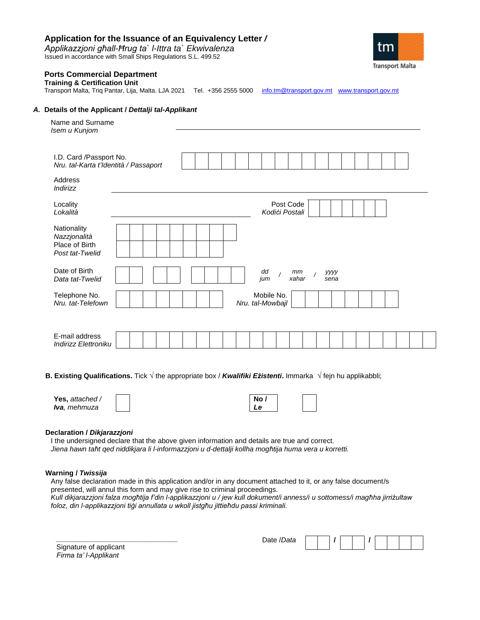# **Application for the Issuance of an Equivalency Letter** */*

*Applikazzjoni għall-Ħrug ta` l-Ittra ta` Ekwivalenza* Issued in accordance with Small Ships Regulations S.L. 499.52



## **Ports Commercial Department**

### **Training & Certification Unit**

Transport Malta, Triq Pantar, Lija, Malta. LJA 2021 Tel. +356 2555 5000 [info.tm@transport.gov.mt](mailto:info.tm@transport.gov.mt) [www.transport.gov.mt](http://www.transport.gov.mt/)

### *A.* **Details of the Applicant /** *Dettalji tal-Applikant*

| Name and Surname<br>Isem u Kunjom                                |                                                                                        |
|------------------------------------------------------------------|----------------------------------------------------------------------------------------|
| I.D. Card /Passport No.<br>Nru. tal-Karta t'Identità / Passaport |                                                                                        |
| Address<br>Indirizz                                              |                                                                                        |
| Locality<br>Lokalità                                             | Post Code<br>Kodići Postali                                                            |
| Nationality<br>Nazzjonalità<br>Place of Birth<br>Post tat-Twelid |                                                                                        |
| Date of Birth<br>Data tat-Twelid                                 | dd<br>mm<br>уууу<br>$\overline{\phantom{a}}$<br>$\overline{1}$<br>jum<br>xahar<br>sena |
| Telephone No.<br>Nru. tat-Telefown                               | Mobile No.<br>Nru. tal-Mowbajl                                                         |
| E-mail address<br>Indirizz Elettroniku                           |                                                                                        |

**B. Existing Qualifications.** Tick **√** the appropriate box / *Kwalifiki Eżistenti***.** Immarka **√** fejn hu applikabbli;

| Yes, attached /      | <b>No</b> |  |
|----------------------|-----------|--|
| <b>Iva</b> , mehmuza |           |  |

## **Declaration /** *Dikjarazzjoni*

I the undersigned declare that the above given information and details are true and correct. *Jiena hawn taħt qed niddikjara li l-informazzjoni u d-dettalji kollha mogħtija huma vera u korretti.* 

## **Warning /** *Twissija*

Any false declaration made in this application and/or in any document attached to it, or any false document/s presented, will annul this form and may give rise to criminal proceedings. *Kull dikjarazzjoni falza mogħtija f'din l-applikazzjoni u / jew kull dokument/i anness/i u sottomess/i magħha jirriżultaw foloz, din l-applikazzjoni tiġi annullata u wkoll jistgħu jittieħdu passi kriminali.*

Signature of applicant *Firma ta' l-Applikant*

*\_\_\_\_\_\_\_\_\_\_\_\_\_\_\_\_\_\_\_\_\_\_\_\_\_\_\_\_\_\_\_* 

Date /*Data* **/ /**

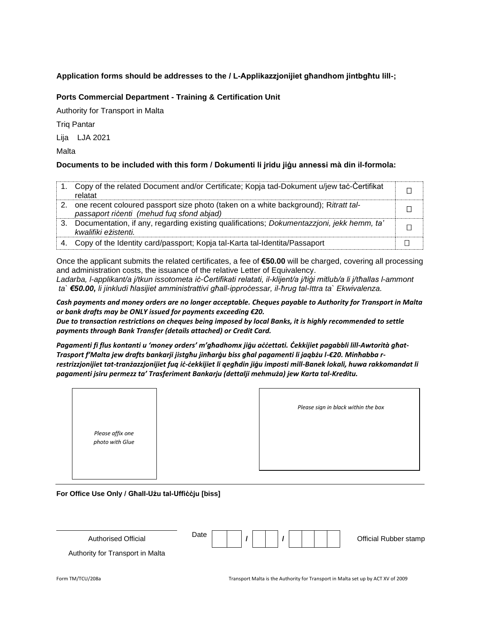# **Application forms should be addresses to the / L-Applikazzjonijiet għandhom jintbgħtu lill-;**

# **Ports Commercial Department - Training & Certification Unit**

Authority for Transport in Malta

Triq Pantar

Lija LJA 2021

Malta

# **Documents to be included with this form / Dokumenti li jridu jiġu annessi mà din il-formola:**

|    | Copy of the related Document and/or Certificate; Kopja tad-Dokument u/jew tac-Certifikat<br>relatat                              |  |
|----|----------------------------------------------------------------------------------------------------------------------------------|--|
| 2. | one recent coloured passport size photo (taken on a white background); Ritratt tal-<br>passaport ricenti (mehud fug sfond abjad) |  |
| 3. | Documentation, if any, regarding existing qualifications; Dokumentazzioni, jekk hemm, ta'<br>kwalifiki ezistenti.                |  |
|    | Copy of the Identity card/passport; Kopja tal-Karta tal-Identita/Passaport                                                       |  |

Once the applicant submits the related certificates, a fee of **€50.00** will be charged, covering all processing and administration costs, the issuance of the relative Letter of Equivalency.

*Ladarba, l-applikant/a j/tkun issotometa iċ-Ċertifikati relatati, il-klijent/a j/tiġi mitlub/a li j/tħallas l-ammont ta` €50.00, li jinkludi ħlasijiet amministrattivi għall-ipproċessar, il-ħrug tal-Ittra ta` Ekwivalenza.*

*Cash payments and money orders are no longer acceptable. Cheques payable to Authority for Transport in Malta or bank drafts may be ONLY issued for payments exceeding €20.* 

*Due to transaction restrictions on cheques being imposed by local Banks, it is highly recommended to settle payments through Bank Transfer (details attached) or Credit Card.*

*Pagamenti fi flus kontanti u 'money orders' m'għadhomx jiġu aċċettati. Ċekkijiet pagabbli lill-Awtorità għat-Trasport f'Malta jew drafts bankarji jistgħu jinħarġu biss għal pagamenti li jaqbżu l-€20. Minħabba rrestrizzjonijiet tat-tranżazzjonijiet fuq iċ-ċekkijiet li qegħdin jiġu imposti mill-Banek lokali, huwa rakkomandat li pagamenti jsiru permezz ta' Trasferiment Bankarju (dettalji mehmuża) jew Karta tal-Kreditu.*

|                                     | Please sign in black within the box |
|-------------------------------------|-------------------------------------|
| Please affix one<br>photo with Glue |                                     |

**For Office Use Only / Għall-Użu tal-Uffiċċju [biss]**

| <b>Authorised Official</b>       | Date |  |  |  |  |  | Official Rubber stamp |
|----------------------------------|------|--|--|--|--|--|-----------------------|
| Authority for Transport in Malta |      |  |  |  |  |  |                       |